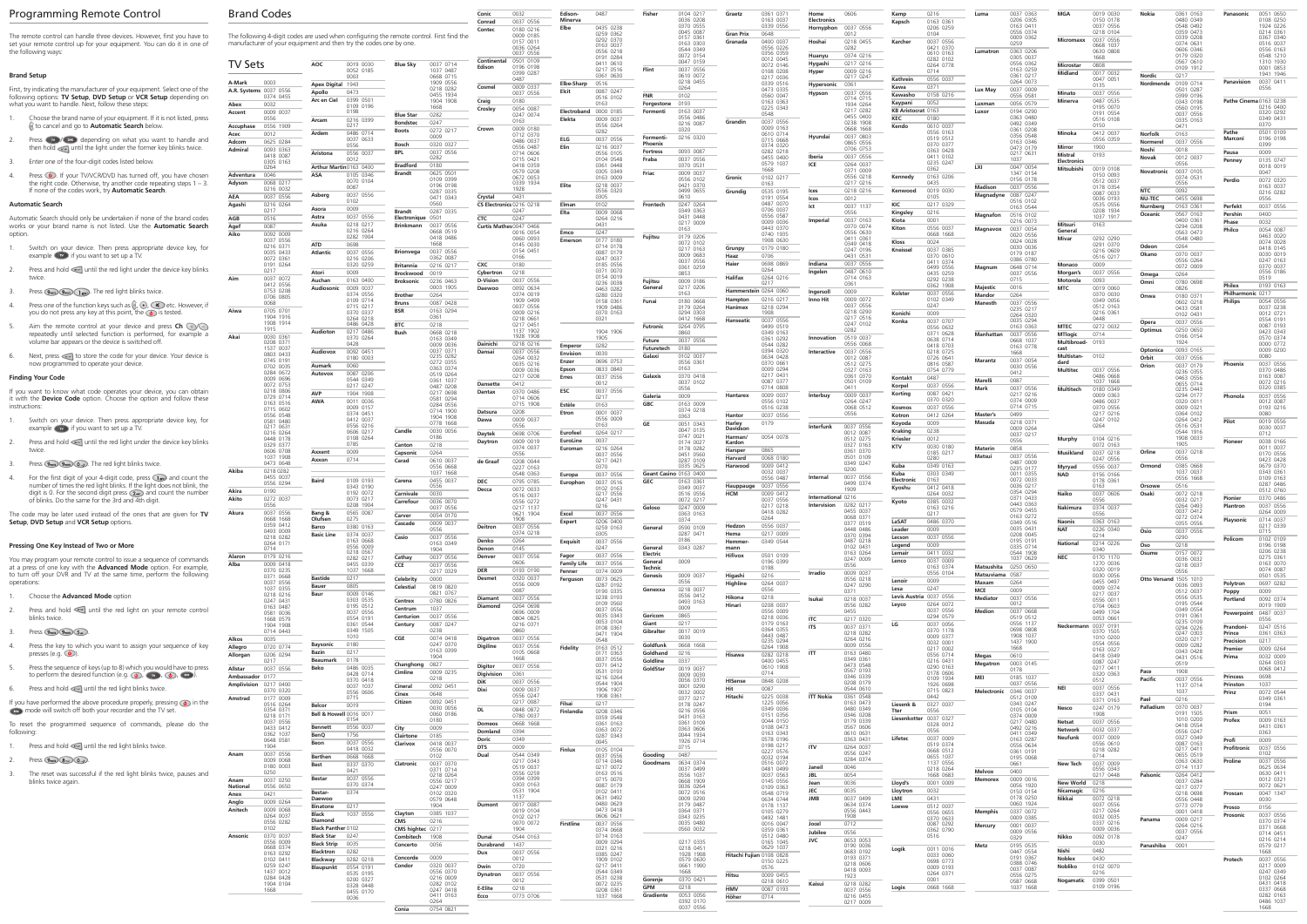# Programming Remote Control Brand Brand Control

| The remote control can handle three devices. However, first you have to |
|-------------------------------------------------------------------------|
| set your remote control up for your equipment. You can do it in one of  |
| the following ways:                                                     |

### **Brand Setup**

First, try indicating the manufacturer of your equipment. Select one of the following options: **TV Setup**, **DVD Setup** or **VCR Setup** depending on what you want to handle. Next, follow these steps:

#### **Automatic Search**

Automatic Search should only be undertaken if none of the brand codes works or your brand name is not listed. Use the **Automatic Search**  option.

## **Finding Your Code**

- Press  $(w)$  /  $(w)$  depending on what you want to handle and then hold and until the light under the former key blinks twice. 2.
- Enter one of the four-digit codes listed below. 3.
- Press  $\circledcirc$ . If your TV/VCR/DVD has turned off, you have chosen the right code. Otherwise, try another code repeating steps 1 – 3. If none of the codes work, try **Automatic Search**. 4.

If you want to know what code operates your device, you can obtain it with the **Device Code** option. Choose the option and follow these instructions:

- 1. Press and hold in until the red light blinks twice.
- 2. Press  $\left(9_{max}\right)$   $\left(8_{inv}\right)$   $\left(0_{us}\right)$ .
- The reset was successful if the red light blinks twice, pauses and blinks twice again. 3.

Choose the brand name of your equipment. If it is not listed, press to cancel and go to **Automatic Search** below. 1.

- Switch on your device. Then press appropriate device key, for 1. example  $\bullet$  if you want to set up a TV.
- Press and hold will the red light under the device key blinks twice. 2.
- 3. Press  $\left(9_{\text{max}}\right)\left(9_{\text{max}}\right)$ . The red light blinks twice.
- Press one of the function keys such as  $\mathbb{C}, \odot$ ,  $\mathbb{C}$  etc. However, if you do not press any key at this point, the  $\circledast$  is tested. 4.
- Aim the remote control at your device and press **Ch**  $\odot$ repeatedly until selected function is performed, for example a volume bar appears or the device is switched off. 5.
- Next, press  $\leq$  to store the code for your device. Your device is now programmed to operate your device. 6.

The code may be later used instead of the ones that are given for **TV Setup**, **DVD Setup** and **VCR Setup** options.

## **Pressing One Key Instead of Two or More**

| You may program your remote control to issue a sequence of commands      |
|--------------------------------------------------------------------------|
| at a press of one key with the <b>Advanced Mode</b> option. For example, |
| to turn off your DVR and TV at the same time, perform the following      |
| operations:                                                              |

- Switch on your device. Then press appropriate device key, for  $e^{i\theta}$  example  $\theta$  if you want to set up a TV. 1.
- Press and hold will the red light under the device key blinks twice. 2.
- 3. Press  $(9<sub>max</sub>) (9<sub>max</sub>) (0<sub>min</sub>)$ . The red light blinks twice.
- For the first digit of your 4-digit code, press  $\bigcap$  and count the number of times the red light blinks. If the light does not blink, the digit is 0. For the second digit press  $(2)$  and count the number of blinks. Do the same for the 3rd and 4th digit. 4.

|  |  | Choose the <b>Advanced Mode</b> option |
|--|--|----------------------------------------|
|--|--|----------------------------------------|

- Press and hold intil the red light on your remote control blinks twice. 2.
- Press  $\boxed{9_{\text{max}}\sqrt{9_{\text{max}}\sqrt{5_{\text{max}}}}$ . 3.
- Press the key to which you want to assign your sequence of key presses (e.g.  $\circled{O}$ ). 4.
- Press the sequence of keys (up to 8) which you would have to press to perform the desired function (e.g.  $\circledcirc$ ),  $\circledcirc$ ,  $\circledcirc$ ),  $\circledcirc$ ). 5.
- 6. Press and hold  $\leq$  until the red light blinks twice.
- If you have performed the above procedure properly, pressing  $\bigcirc$  in the  $\Box$  mode will switch off both your recorder and the TV set.

To reset the programmed sequence of commands, please do the following:

| <b>Brand Codes</b>                            |                                                                                                                                                               |                                                      | Conic<br>0032                                       | Edison-<br>Minerva           | 0487                                | Fisher               | 0104 0217<br>0036 0208              | Graetz                  | 0361 0371<br>0163 0037                | Home<br>Electronics   | 0606                                | Kamp<br>0216                                       | Luma                     | 0037 0363<br>0206 0305              |
|-----------------------------------------------|---------------------------------------------------------------------------------------------------------------------------------------------------------------|------------------------------------------------------|-----------------------------------------------------|------------------------------|-------------------------------------|----------------------|-------------------------------------|-------------------------|---------------------------------------|-----------------------|-------------------------------------|----------------------------------------------------|--------------------------|-------------------------------------|
|                                               |                                                                                                                                                               |                                                      | 0037 0556<br>Conrad<br>0180 0216<br>Contec          | Elbe                         | 0435 0238<br>0259 0362              |                      | 0370 0555<br>0045 0087              | <b>Gran Prix</b>        | 0339 0556<br>0648                     | Hornyphon             | 0037 0556<br>0012                   | 0163 0361<br>Kapsch<br>0206 0259<br>0104           |                          | 0163 0411<br>0556 0374              |
|                                               | The following 4-digit codes are used when configuring the remote control. First find the<br>manufacturer of your equipment and then try the codes one by one. |                                                      | 0009 0185<br>0157 0011                              |                              | 0292 0370<br>0163 0037              |                      | 0157 0361<br>0163 0303              | Granada                 | 0400 0037                             | Hoshai                | 0218 0455                           | 0037 0556<br>Karcher                               |                          | 0009 0362<br>0259                   |
|                                               |                                                                                                                                                               |                                                      | 0036 0264<br>0037 0556                              |                              | 0556 0218<br>0191 0284              |                      | 0544 0349<br>0072 0154              |                         | 0556 0226<br>0356 0359                | Huanyu                | 0282<br>0374 0216                   | 0421 0370<br>0610 0163                             | Lumatron                 | 0363 0206<br>0305 0037              |
| <b>TV Sets</b>                                | AOC<br>0019 0030<br>0052 0185                                                                                                                                 | 0037 0714<br><b>Blue Sky</b><br>1037 0487            | 0501 0109<br>Continental<br>0196 0198<br>Edison     |                              | 0411 0610<br>0217 0516              | Flint                | 0047 0159<br>0037 0556              |                         | 0012 0045<br>0072 0146                | Hygashi               | 0217 0216<br>0009 0216              | 0282 0102<br>0264 0778                             |                          | 0556 0362<br>0163 0259              |
| A-Mark<br>0003                                | 0003                                                                                                                                                          | 0668 0715<br>1909 0556                               | 0399 0287<br>0487                                   |                              | 0361 0630                           |                      | 0610 0072<br>0218 0455              |                         | 0108 0208<br>0217 0036                | Hyper                 | 0217 0247                           | 0714<br>Kathrein<br>0556 0037                      |                          | 0361 0217<br>0264 0073              |
| A.R. Systems 0037 0556                        | Apex Digital 1943<br>Apollo<br>0473                                                                                                                           | 0218 0282<br>0455 1934                               | 0009 0337<br>Cosmel<br>0037 0556                    | Elbe-Sharp<br>Elcit          | 0516<br>0087 0247                   | <b>FNR</b>           | 0264<br>0102                        |                         | 0339 0516<br>0473 0335                | Hypersonic<br>Hypson  | 0361<br>0037 0556                   | Kawa<br>0371<br>Kawasho<br>0158 0216               | Lux May                  | 0037 0009                           |
| 0374 0455<br>0032<br>Abex                     | 0399 0501<br>Arc en Ciel<br>0109 0196                                                                                                                         | 1904 1908<br>1668                                    | 0180<br>Craig                                       |                              | 0516 0102<br>0163                   | Forgestone           | 0193                                |                         | 0560 0047<br>0163 0363                |                       | 0714 0715<br>1934 0264              | 0052<br>Kaypani                                    | Luxman                   | 0556 0581<br>0056 0579              |
| 0009 0037<br>Accent<br>0556                   | 0198<br>0216 0399<br>Arcam                                                                                                                                    | <b>Blue Star</b><br>0282                             | Crosley<br>0054 0087<br>0247 0074                   | Electroband<br>Elekta        | 0000 0185<br>0009 0037              | Formenti             | 0163 0037<br>0556 0486              |                         | 0225 0343<br>0548                     |                       | 0217 0282<br>0455 0400              | KB Aristocrat 0163<br>KEC<br>0180                  | Luxor                    | 0194 0290<br>0363 0480              |
| 0556 1909<br>Accuphase                        | 0217                                                                                                                                                          | <b>Bondstec</b><br>0247<br>0272 0217<br><b>Boots</b> | 0163<br>0009 0180<br>Crown                          |                              | 0556 0264<br>0282                   |                      | 0216 0087<br>0320                   | Grandin                 | 0037 0556<br>0009 0163                |                       | 0238 1908<br>0668 1668              | 0610 0037<br>Kendo                                 |                          | 0492 0349<br>0361 0208              |
| 0012<br>Acec<br>0625 0284<br>Adcom            | 0486 0714<br>Ardem<br>0037 0633                                                                                                                               | 0009<br>0320 0327                                    | 0712 0370<br>0486 0037                              | ELG                          | 0037 0556                           | Formenti-<br>Phoenix | 0216 0320                           |                         | 0610 0714<br>0715 0668                | Hyundai               | 0037 0803<br>0865 0556              | 0556 0163<br>0519 0512                             |                          | 0356 0548<br>0163 0346              |
| 0093 0363<br>Admiral<br>0418 0087             | 0556<br>0556 0037<br>Aristona                                                                                                                                 | Bosch<br><b>BPL</b><br>0037 0556                     | 0556 0487<br>0714 0606                              | Elin                         | 0216 0037<br>0556 0105              | <b>Fortress</b>      | 0093 0087                           |                         | 0374 0320<br>0282 0218                |                       | 0706 0753                           | 0370 0377<br>0363 0428                             |                          | 0473 0179<br>0217 0631              |
| 0305 0163<br>0264                             | 0012<br>Arthur Martin0163 0400                                                                                                                                | 0282<br><b>Bradford</b><br>0180                      | 0715 0421<br>0418 0359                              |                              | 0104 0548<br>0361 0448              | Fraba                | 0037 0556<br>0370 0531              |                         | 0455 0400<br>0579 1037                | Iberia<br>ICE         | 0037 0556<br>0264 0037              | 0411 0102<br>0235 0247                             | LXI                      | 1037<br>0047 0054                   |
| 0046<br>Adventura                             | 0105 0346<br>ASA                                                                                                                                              | <b>Brandt</b><br>0625 0501<br>0109 0399              | 0579 0208<br>0672 0053                              |                              | 0305 0349<br>0163 0009              | Friac                | 0009 0037<br>0556 0102              | Gronic                  | 1668<br>0102 0217                     |                       | 0371 0009<br>0556 0218              | 0362<br>0163 0206<br>Kennedy                       |                          | 1347 0154<br>0156 0178              |
| 0068 0217<br>Adyson<br>0216 0032              | 0070 0104<br>0087                                                                                                                                             | 0196 0198<br>0287 0335                               | 0339 1934<br>1928                                   | Elite                        | 0218 0037<br>0556 0320              |                      | 0421 0370<br>0499 0655              | Grundig                 | 0163<br>0535 0195                     | Ices                  | 0217 0216<br>0218 0216              | 0435<br>0019 0030<br>Kenwood                       | <b>Madison</b>           | 0037 0556                           |
| 0037 0556<br>AEA                              | Asberg<br>0037 0556<br>0102                                                                                                                                   | 0471 0343<br>0560                                    | Crystal<br>0431                                     |                              | 0305                                |                      | 0610                                |                         | 0191 0554<br>0487 0070                | Icos                  | 0012                                | 0105<br>0217 0329<br>KIC                           | Magnadyne                | 0087 0247<br>0516 0102              |
| 0216 0264<br>Agashi<br>0217                   | 0009<br>Asora                                                                                                                                                 | <b>Brandt</b><br>0287 0335                           | CS Electronics 0216 0218<br>0247                    | Elman<br>Elta                | 0102<br>0009 0068                   | Frontech             | 0247 0264<br>0349 0363              |                         | 0706 0037<br>0556 0587                | lct                   | 0037 1137<br>0556                   | 0216<br>Kingsley                                   | Magnafon                 | 0163 0544<br>0516 0102              |
| 0516<br>AGB<br>0087<br>Agef                   | Astra<br>0037 0556<br>0218 0217<br>Asuka                                                                                                                      | Electronique 0501<br>0037 0556<br><b>Brinkmann</b>   | CTC<br>0247<br>Curtis Mathes 0047 0466              |                              | 0264 0216<br>0431                   |                      | 0431 0448<br>0217 0009              |                         | 0009 0036<br>0443 0370                | Imperial              | 0037 0163<br>0370 0074              | 0001<br>Kiota<br>0556 0037<br>Kiton                |                          | 0216 0073                           |
| 0092 0009<br>Aiko<br>0037 0556                | 0216 0264<br>0282 1904                                                                                                                                        | 0668 0519<br>0418 0486                               | 0016 0054<br>0060 0093                              | Emco<br>Emerson              | 0247<br>0177 0180                   | Fujitsu              | 0163<br>0179 0206                   |                         | 0740 1935<br>1908 0630                |                       | 0556 0630<br>0411 0361              | 0668 1668                                          | Magnavox                 | 0037 0054<br>0020 0556              |
| 0216 0371<br>0035 0433                        | <b>ATD</b><br>0698<br><b>Atlantic</b><br>0037 0556                                                                                                            | 1668<br>0037 0556<br><b>Brionvega</b>                | 0145 0030<br>0154 0451                              |                              | 0714 0178<br>0087 0179              |                      | 0072 0102<br>0217 0163              | Grunpy                  | 0179 0180                             |                       | 0349 0418<br>0247 0196              | 0024<br>Kloss<br>0037 0385<br>Kneissel             |                          | 0024 0028<br>0030 0036              |
| 0072 0361<br>0191 0264                        | 0216 0206<br>0320 0259                                                                                                                                        | 0362 0087                                            | 0166<br>CXC<br>0180                                 |                              | 0247 0037<br>0185 0556              |                      | 0009 0683<br>0037 0556              | Haaz<br>Haier           | 0706<br>0698 0869                     | Indiana               | 0431 0531<br>0037 0556              | 0370 0610<br>0411 0374                             |                          | 0179 0187<br>0386 0780              |
| 0217                                          | Atori<br>0009                                                                                                                                                 | 0216 0217<br><b>Britannia</b><br>0019<br>Brockwood   | 0218<br>Cybertron                                   |                              | 0371 0070<br>0154 0019              |                      | 0361 0259<br>0853                   |                         | 0264                                  | Ingelen               | 0487 0610                           | 0499 0556<br>0435 0259                             | Magnum                   | 0648 0714<br>0037 0556              |
| Aim<br>0037 0072<br>0412 0556                 | 0163 0400<br>Auchan<br>0009 0037<br>Audiosonic                                                                                                                | <b>Broksonic</b><br>0236 0463<br>0003 1905           | 0037 0556<br><b>D-Vision</b><br>0092 0634<br>Daewoo |                              | 0236 0038<br>0463 0282              | Fujitsu<br>General   | 0009 0186<br>0217 0206              | Halifax                 | 0264 0216<br>0217                     |                       | 0714 0163<br>0361                   | 0292 0238<br>0362 1908                             | <b>Majestic</b>          | 0715<br>0016                        |
| 0753 0208<br>0706 0805                        | 0374 0556<br>0109 0714                                                                                                                                        | 0264<br><b>Brother</b>                               | 0374 0019<br>1909 0499                              |                              | 0280 0320<br>0158 0361              | Funai                | 0163<br>0180 0668                   | Hampton                 | Hammerstein 0264 0060<br>0216 0217    | Ingersoll<br>Inno Hit | 0009<br>0009 0072                   | Kolster<br>0037 0556<br>0102 0349                  | Mandor                   | 0264                                |
| 0068<br>0705 0701<br>Aiwa                     | 0715 0217<br>0370 0337                                                                                                                                        | 0087 0428<br><b>Bruns</b><br><b>BSR</b><br>0163 0294 | 0037 0556<br>0009 0216                              |                              | 1909 0486<br>0370 0163              |                      | 0179 0264<br>0294 0303              | Hanimex                 | 0218 0294<br>1908                     |                       | 0037 0556<br>0218 0290              | 0247                                               | Manesth                  | 0037 0556<br>0235 0217              |
| 1904 1916<br>1908 1914                        | 0264 0218<br>0486 0428                                                                                                                                        | 0361<br><b>BTC</b><br>0218                           | 0218 0661<br>0217 0451                              |                              | 0321                                |                      | 0412 1668                           | Hanseatic               | 0037 0556                             |                       | 0217 0516<br>0247 0102              | Konichi<br>0009<br>0037 0707<br>Konka              |                          | 0264 0320<br>0035 0294              |
| 1915<br>Akai<br>0030 0361                     | Audioton<br>0217 0486                                                                                                                                         | <b>Bush</b><br>0668 0218                             | 1137 1902<br>1928 1908                              |                              | 1904 1906                           | <b>Futronic</b>      | 0264 0795<br>0860                   |                         | 0499 0519<br>0349 0163                |                       | 0282                                | 0556 0632<br>0371 0628                             | Manhattan                | 0163 0363<br>0037 0556              |
| 0208 0371<br>1537 0037                        | 0370 0264<br>0428                                                                                                                                             | 0163 0349<br>0009 0036                               | 0218 0216<br>Dainichi                               | Emperor                      | 1905<br>0282                        | Future<br>Futuretech | 0037 0556<br>0180                   |                         | 0361 0292<br>0544 0282                | Innovation            | 0519 0037<br>0556 0068              | 0638 0714<br>0418 0703                             |                          | 0668 1037<br>0163 0778              |
| 0803 0433<br>0745 0191                        | Audiovox<br>0092 0451<br>0180 0003                                                                                                                            | 0037 0371<br>0235 0282                               | 0037 0556<br>Dansai<br>0264 0032                    | Envision<br>Enzer            | 0030<br>0696 0753                   | Galaxi               | 0102 0037                           |                         | 0394 0320<br>0634 0428                | Interactive           | 0037 0556<br>0012 0087              | 0218 0725<br>0726 0641                             | <b>Marantz</b>           | 1668<br>0037 0054                   |
| 0702 0035<br>0284 0672                        | 0060<br>Aumark<br>0087 0206<br>Autovox                                                                                                                        | 0272 0355<br>0363 0374<br>0519 0264                  | 0035 0216<br>0009 0036                              | Epson                        | 0833 0840                           |                      | 0556 0361<br>0163                   |                         | 0370 0661<br>0009 0294                |                       | 0512 0275<br>0327 0163              | 0816 0587<br>0754 0779                             |                          | 0030 0556<br>0412                   |
| 0009 0696<br>0072 0753                        | 0544 0349<br>0217 0247                                                                                                                                        | 0361 1037                                            | 0217 0208<br>0412<br>Dansette                       | Erres                        | 0037 0556<br>0012                   | Galaxis              | 0370 0418<br>0037 0102              |                         | 0217 0431<br>0087 0377                |                       | 0361 0370<br>0501 0109              | 0487<br>Kontakt<br>0037 0556<br>Korpel             | Marelli                  | 0087                                |
| 0218 0806<br>0729 0714                        | AVP<br>1904 1908                                                                                                                                              | 0487 0208<br>0217 0698<br>0581 0294                  | 0370 0486<br><b>Dantax</b><br>0714 0606             | ESC                          | 0037 0556<br>0217                   | Galeria              | 0556<br>0009                        | Hantarex                | 0714 0808<br>0009 0037                | Interbuy              | 0411<br>0009 0037                   | 0087 0421<br>Korting                               | Mark                     | 0037 0556<br>0217 0216              |
| 0163 0516<br>0715 0602                        | <b>AWA</b><br>0011 0036<br>0009 0157                                                                                                                          | 0284 0556<br>0714 1900                               | 0715 1908                                           | Estèle                       | 0163                                | <b>GBC</b>           | 0163 0009<br>0374 0218              |                         | 0556 0102<br>0516 0238                |                       | 0264 0247<br>0068 0512              | 0370 0320<br>Kosmos<br>0037 0556                   |                          | 0374 0009<br>0714 0715              |
| 0556 0548<br>0581 0480                        | 0374 0451<br>0412 0037                                                                                                                                        | 1904 1908<br>0778 1668                               | 0208<br>Datsura<br>0009 0037<br>Dawa                | Etron                        | 0001 0037<br>0556 0009              |                      | 0363                                | Hantor<br>Harley        | 0037 0556<br>0179                     |                       | 0556                                | 0412 0264<br>Kotron<br>0009<br>Koyoda              | Master's<br>Masuda       | 0499<br>0218 0371                   |
| 0217 0631<br>0216 0264                        | 0556 0216<br>0606 0217                                                                                                                                        | Candle<br>0030 0056                                  | 0556<br>0698 0706<br>Daytek                         | Eurofeel                     | 0163<br>0264 0217                   | GE                   | 0051 0343<br>0047 0135              | Davidson                |                                       | Interfunk             | 0037 0556<br>0012 0087              | Kraking<br>0238                                    |                          | 0009 0264<br>0037 0217              |
| 0448 0178<br>0329 0377                        | 0108 0264<br>0785                                                                                                                                             | 0186<br>0218<br>Canton                               | 0009 0019<br>Daytron<br>0374 0037                   | EuroLine<br>Euroman          | 0037<br>0216 0264                   |                      | 0747 0021<br>0174 0027<br>0178 0282 | Harman/<br>Kardon       | 0054 0078                             |                       | 0512 0275<br>0327 0163              | 0012<br><b>Kriesler</b><br><b>KTV</b><br>0030 0180 | Materin                  | 0556<br>0858                        |
| 0606 0708<br>1037 1908                        | 0009<br>Axxent<br>0714<br>Axxon                                                                                                                               | 0264<br>Capsonic<br>Carad<br>0610 0037               | 0556                                                |                              | 0037 0556<br>0217 0421              |                      | 0451 0560<br>0287 0109              | Harsper<br>Harvard      | 0865<br>0068 0180                     |                       | 0361 0370<br>0501 0109              | 0185 0217<br>0280                                  | Matsui                   | 0037 0556                           |
| 0473 0648<br>0218 0282<br>Akiba               |                                                                                                                                                               | 0556 0668<br>1037 1668                               | 0208 0044<br>de Graaf<br>0227 0163                  |                              | 0370                                |                      | 0335 0625                           | Harwood                 | 0009 0412<br>0032 0037                |                       | 0349 0247<br>0200                   | Kuba<br>0349 0163                                  |                          | 0487 0009<br>0235 0177              |
| 0455 0037<br>0556 0294                        | <b>Baird</b><br>0109 0193                                                                                                                                     | 0455 0037<br>Carena                                  | 0548 0363<br><b>DEC</b><br>0795 0785                | Europa<br>Europhon           | 0037 0556<br>0037 0516              | <b>GEC</b>           | Geant Casino 0163 0400<br>0163 0361 |                         | 0556 0487                             | Internal              | 0037 0556<br>0499 0374              | Kuba<br>0303 0349<br>0163<br>Electronic            |                          | 0011 0355<br>0072 0033              |
| Akira<br>0190                                 | 0343 0190<br>0192 0072                                                                                                                                        | 0556<br>0030<br>Carnivale                            | 0072 0033<br>Decca<br>0516 0037                     |                              | 0102 0163<br>0217 0556              |                      | 0349 0037<br>0516 0556              | Hauppauge<br><b>HCM</b> | 0037 0556<br>0009 0412                | International 0216    | 1909                                | 0412 0418<br>Kyoshu<br>0264 0032                   |                          | 0036 0217<br>0354 0294<br>0371 0433 |
| 0272 0037<br>0556                             | 0073 0217<br>0208 1904                                                                                                                                        | Carrefour<br>0036 0070<br>0037 0556                  | 0556 0272<br>0217 1137                              |                              | 0247 043<br>0216                    | Geloso               | 00/2 021/<br>0247 0009              |                         | 0037 O556<br>0217 0218                | Intervision           | 0282 0217                           | 0385 0032<br>Kyoto<br>0163 0216                    |                          | 0443 0363<br>0579 0455              |
| 0037 0556<br>Akura<br>0668 1668               | 0565 0087<br>Bang &<br>Olufsen<br>0275                                                                                                                        | 0054 0170<br>Carver                                  | 0621 1904<br>1908                                   | Excel<br>Expert              | 0037 0556<br>0206 0400              |                      | 0363 0163<br>0374                   |                         | 0418 0282<br>0264                     |                       | 0455 0037<br>0068 0371<br>0377 0519 | 0217<br>LaSAT<br>0486 0370                         |                          | 0163 0272<br>0349 0516              |
| 0359 0412<br>0493 0009                        | 0380 0163<br>Barco<br>0374 0037<br><b>Basic Line</b>                                                                                                          | 0009 0037<br>Cascade<br>0556                         | 0037 0556<br>Deitron<br>0374 0218                   |                              | 0259 0163<br>0305                   | General              | 0590 0109<br>0287 0471              | Hedzon<br>Hema          | 0556 0037<br>0217 0009                |                       | 0448 0486                           | Leader<br>0009                                     |                          | 0035 0431<br>0208 0045              |
| 0218 0282<br>0264 0171                        | 0163 0668<br>0556 0009                                                                                                                                        | Casio<br>0037 0556<br>0163 0349                      | Denko<br>0264                                       | Exquisit                     | 0037 0556                           |                      | 0186                                | Hemmer-                 | 0349 0544                             |                       | 0370 0394<br>0487 0218<br>0102 0431 | 0037 0556<br>Lecson<br>Legend<br>0009              |                          | 0195 0191<br>0335 0714              |
| 0714<br>0179 0216<br>Alaron                   | 0218 0567<br>0282 0217                                                                                                                                        | 1904<br>Cathay<br>0037 0556                          | 0145<br>Denon<br>0037 0556<br>Denver                | Fagor                        | 0247<br>0037 0556                   | General<br>Electric  | 0343 0287                           | mann<br>Hifivox         | 0501 0109                             |                       | 0163 0264<br>0247 0009              | 0411 0032<br>Lemair                                |                          | 0544 1908<br>1037 0629              |
| Alba<br>0009 0418<br>0370 0235                | 0455 0339<br>1037 1668                                                                                                                                        | CCE<br>0037 0556<br>0217 0329                        | 0606<br><b>DER</b><br>0193 0190                     | <b>Family Life</b><br>Fenner | 0037 0556<br>0374 0009              | General<br>Technic   | 0009                                |                         | 0196 0399<br>0198                     |                       | 0556                                | 0037 0009<br>Lenco<br>0163 0374                    | Matsushita               | 0250 0650                           |
| 0371 0668<br>0037 0556                        | 0217<br><b>Bastide</b>                                                                                                                                        | Celebrity<br>0000                                    | 0320 0037<br><b>Desmet</b>                          | Ferguson                     | 0073 0625                           | Genesis              | 0009 0037<br>0556                   | Higashi<br>Highline     | 0216<br>0264 0037                     | Irradio               | 0009 0037<br>0556 0218              | 0556 0104<br>Lenoir<br>0009                        | Matsuviama 0587<br>Maxam | 0264                                |
| 1037 0355<br>0218 0216                        | 0805<br><b>Bauer</b><br>0009 0146<br>Baur                                                                                                                     | Celestial<br>0819 0820<br>0821 0767                  | 0556 0009<br>0087                                   |                              | 0287 0192<br>0190 0335              | Genexxa              | 0218 0037<br>0556 0412              |                         | 0556                                  |                       | 0247 0290<br>0371                   | 0247<br>Lesa                                       | <b>MCE</b>               | 0009                                |
| 0247 0431<br>0163 0487                        | 0303 0535<br>0195 0512                                                                                                                                        | 0780 0826<br>Centrex                                 | 0037 0556<br>Diamant<br>0264 0698<br>Diamond        |                              | 0238 0193<br>0109 0560              |                      | 0493 0163<br>0009                   | Hikona<br>Hinari        | 0218<br>0208 0037                     | Isukai                | 0218 0037<br>0556 0282              | Levis Austria 0037 0556<br>0264 0072<br>Leyco      | <b>Mediator</b>          | 0037 0556<br>0012                   |
| 0581 0036<br>1668 0579                        | 0037 0556<br>0554 0191                                                                                                                                        | 1037<br>Centrum<br>0037 0556<br>Centurion            | 0696 0009<br>0804 0825                              |                              | 0037 0556<br>0035 0343              | Gericom              | 0865                                |                         | 0556 0009<br>0218 0036                | <b>ITC</b>            | 0455<br>0217 0320                   | 0037 0556<br>0294 0579                             | <b>Medion</b>            | 0037 0668<br>0519 0512              |
| 1904 1908<br>0714 0443                        | 0361 0544<br>0349 1505                                                                                                                                        | 0087 0247<br>Century<br>0238                         | 0216 0371<br>0860                                   |                              | 0053 0104<br>0108 0361              | Giant<br>Gibralter   | 0217<br>0017 0019                   |                         | 0179 0163<br>0364 0355                | <b>ITS</b>            | 0037 0371<br>0218 0282              | LG<br>0037 0056<br>0370 1178                       |                          | 0556 1137<br>0698 0808              |
| Alkos<br>0035                                 | 1010<br>0180<br><b>Baysonic</b>                                                                                                                               | 0074 0418<br>CGE<br>0247 0370                        | 0037 0556<br>Digatron<br>0037 0556<br>Digiline      |                              | 0471 1904<br>0548                   | Goldfunk             | 0030<br>0668 1668                   |                         | 0443 0487<br>0235 0294                |                       | 0264 0216<br>0009 0556              | 0009 0377<br>0032 0001                             |                          | 1908 1037<br>1437 1900              |
| Allegro<br>0720 0774<br>0206 0294<br>Allorgan | 0217<br>Bazin                                                                                                                                                 | 0163 0399<br>1904                                    | 0105 0668<br>1668                                   | Fidelity                     | 0163 0512<br>0171 0363              | Goldhand             | 0216                                | Hisawa                  | 0264 1908<br>0282 0218                | <b>ITT</b>            | 0163 0480                           | 0217 0002<br>0556 0714                             | Megas                    | 1668<br>0610                        |
| 0217<br>0037 0556<br>Allstar                  | 0178<br>Beaumark<br>Beko<br>0486 0035                                                                                                                         | 0827<br>Changhong                                    | <b>Digitor</b><br>0037 0556                         |                              | 0037 0556<br>0371 0412              | Goldline<br>GoldStar | 0337<br>0019 0037                   |                         | 0400 0455<br>0610 1908                |                       | 0349 0361<br>0473 0548<br>0567 0193 | 0216 0431<br>0290 0163                             | <b>Megatron</b>          | 0003 0145<br>0178                   |
| Ambassador 0177                               | 0428 0714<br>0370 0418                                                                                                                                        | 0009 0235<br>Cimline<br>0218                         | Digivision<br>0361<br>0037 0556<br>DiK              |                              | 0531 0193<br>0216 0264              |                      | 0009 0030<br>0056 0370              | <b>HISense</b>          | 0714<br>0848 0208                     |                       | 0346 0339<br>0208 0179              | 0178 0606<br>0109 1934                             | MEI                      | 0185 1037                           |
| 0217 0400<br>Amplivision<br>0370 0320         | 0037 1037<br>0556 0606                                                                                                                                        | 0092 0451<br>Cineral<br>0648<br>Cinex                | Dixi<br>0009 0037<br>0556 0247                      |                              | 0544 1904<br>1906 1907<br>1908 0361 |                      | 0001 0290<br>0032 0002              | Hit                     | 0087                                  |                       | 0544 0610                           | 1926 0698<br>0715 0823                             | Melectronic              | 0037 0556<br>0346 0037              |
| 0177 0009<br>Amstrad<br>0516 0264             | 0715<br><b>Belcor</b><br>0019                                                                                                                                 | Citizen<br>0092 0451                                 | 0217 0087                                           | Filsai                       | 0217                                |                      | 0377 0217<br>0178 0247              | Hitachi                 | 0225 0038<br>1225 0056                | <b>ITT Nokia</b>      | 0361 0548<br>0163 0473              | 0442<br>0327 0037<br>Liesenk &                     |                          | 0512 0109<br>0343 0247              |
| 0354 0371<br>0218 0171                        | Bell & Howell 0016 0017<br>0154                                                                                                                               | 0030 0056<br>0060 0186<br>0180                       | DL<br>0848 0872<br>0780 0037                        | Finlandia                    | 0208 0346<br>0359 0548              |                      | 0216 0556<br>0431 0163              |                         | 0349 0036<br>0151 0356                |                       | 0480 0349<br>0346 0208              | 0556<br>Tter<br>Liesenkotter 0037 0327             |                          | 0105 0104<br>0374 0009              |
| 0037 0556<br>0433 0412                        | 0556 0037<br><b>Bennett</b>                                                                                                                                   | 0009<br>City                                         | 0668 1668<br><b>Domeos</b><br>0394<br>Domland       |                              | 0361 0163<br>0363 0072              |                      | 0361 0109<br>0363 0606              |                         | 0044 0150<br>0108 0473                |                       | 0179 0339<br>0567 0606              | 0328 0012<br>0556                                  |                          | 0217 0480<br>0492 0216              |
| 0362 1037<br>0648 0581                        | 1756<br>BenQ<br>0037 0556<br>Beon                                                                                                                             | Clairtone<br>0185<br>Clarivox<br>0418 0037           | 0349<br>Doric                                       |                              | 0287 0343<br>0045                   |                      | 0044 1934<br>1926 0714              |                         | 0163 0343<br>0578 0196                |                       | 0610 0631<br>0363 0431              | Lifetec<br>0037 0009                               |                          | 0411 0349<br>0163 0287              |
| 1904<br>0037 0556<br>Anam                     | 0418 0032<br>0668 1668<br><b>Berthen</b>                                                                                                                      | 0556 0070<br>0102                                    | <b>DTS</b><br>0009<br>0544 0349<br>Dual             | Finlux                       | 0105 0104<br>0037 0556              | Gooding              | 0715<br>0487                        |                         | 0198 0217<br>0227 0576<br>0032 0194   | <b>ITV</b>            | 0264 0037<br>0556 0247              | 0519 0374<br>0668 0512<br>0655 1037                |                          | 0556 0634<br>0361 0191              |
| 0009 0068<br>0180 0003                        | 0337 0370<br>Best                                                                                                                                             | 0037 0370<br>Clatronic                               | 0217 0343<br>0519 0037                              |                              | 0714 0346<br>0217 0072              | Goodmans             | 0634 0374<br>0037 0499              |                         | 0516 0072                             | Janeil                | 0284 0374<br>0046                   | 1137 0556<br>0218 0264                             |                          | 0195 0068<br>0661                   |
| 0250<br>0037 0250<br>Anam                     | 0421<br>Bestar<br>0037 0556                                                                                                                                   | 0371 0714<br>0218 0264<br>0556 0217                  | 0556 0259<br>0394 0399                              |                              | 0163 0516<br>0715 0070              |                      | 0556 1037<br>0668 1909              |                         | 0481 0499<br>0037 0563<br>0145 0556   | <b>JBL</b>            | 0054                                | 1668 0683                                          | <b>Melvox</b><br>Memorex | 0400<br>0009 0016                   |
| 0556 0650<br><b>National</b><br>0421<br>Anex  | 0370 0374<br>0374<br>Bestar-                                                                                                                                  | 0247 0009<br>0102 0320                               | 0303 0163<br>0531 1904                              |                              | 0087 0179<br>0102 0411              |                      | 0036 0264<br>0072 0516              |                         | 0109 0363<br>0548 0719                | Jean<br><b>JEC</b>    | 0036<br>0035                        | 0001 0009<br>Lloyd's<br>0032<br>Lloytron           |                          | 0056 1920<br>0150 0154              |
| 0009 0264<br>Anglo                            | Daewoo                                                                                                                                                        | 0579 0648<br>1904                                    | 1137<br>0017 0087<br>Dumont                         |                              | 0631 0492<br>0480 0629              |                      | 0009 0290<br>0179 0487              |                         | 0634 0744<br>0178 1137                | <b>JMB</b>            | 0037 0499<br>0634 0374              | LME<br>0431<br>0512 0037<br>Loewe                  |                          | 0178 0250<br>0060 1924              |
| 0009 0068<br>Anitech<br>0264 0037             | 0217<br><b>Binatone</b><br>1037 0556<br>Black                                                                                                                 | 0385 1037<br>Clayton                                 | 0019 0104<br>0102 0217                              |                              | 0473 0418<br>0606 0621              |                      | 0364 0371<br>0343 0235              |                         | 0105 0279<br>0492 1481                |                       | 0556 0443<br>1908                   | 0556 0655<br>0370 0633                             | <b>Memphis</b>           | 0337 0072<br>0009 0385              |
| 0556 0282<br>0102                             | Diamond<br><b>Black Panther 0102</b>                                                                                                                          | <b>CMS</b><br>0216<br>CMS hightec 0217               | 0070 0072<br>1904                                   | <b>Firstline</b>             | 0037 0556<br>0374 0668              |                      | 0035 0480<br>0560 0032              |                         | 0016 0047<br>0359 0361                | Jocel                 | 0712                                | 0087 0292<br>0362 0790                             | Mercury                  | 0001 0037                           |
| 0370 0037<br>Ansonic<br>0556 0009             | 0247<br><b>Black Star</b>                                                                                                                                     | Combitech<br>1908                                    | 0544 0163<br>Dunai                                  |                              | 0714 0163<br>0009 0294              |                      | 0217 0335                           |                         | 0512 0480<br>0165 1045                | Jubilee<br><b>JVC</b> | 0556<br>0653 0053                   | 0516                                               |                          | 0009 0556<br>0329                   |
| 0668 0374<br>0163 0292                        | <b>Black Strip</b><br>0035<br>Blacktron<br>0282                                                                                                               | 0056<br>Concerto                                     | Durabrand<br>1437<br>0037 0556<br>Dux               |                              | 0321 0216<br>0385 0247              |                      | 0218 0451<br>1928 1908              |                         | 0629 1037                             |                       | 0190 0036<br>0683 0192              | Logik<br>0011 0016<br>0033 0060                    | Metz                     | 0195 0535<br>0447 0554              |
| 0102 0411<br>0259 0247                        | 0282 0218<br>Blackway<br>0554 0191                                                                                                                            | Concorde<br>0009<br>0320 0037<br>Condor              | 0012<br>0720<br>Dwin                                |                              | 1909 0102<br>0217 0411              |                      | 0579 0630<br>0661 1900              |                         | Hitachi Fujian 0108 0828<br>0150 0225 |                       | 0193 0371<br>0218 0606              | 0698 0773<br>0009 0193                             |                          | 0191 0367<br>0388 0746              |
| 1437 0012<br>0284 0428                        | <b>Blaupunkt</b><br>0535 0195<br>0200 0327                                                                                                                    | 0556 0370<br>0216 0009                               | 0037 0556<br>Dynatron                               |                              | 0544 0349<br>0531 0238              | Gorenje              | 1668<br>0370 0421                   | Hitsu                   | 0576<br>0009 0455                     |                       | 0418 0093<br>1923                   | 0264 0371<br>0001                                  |                          | 0037 0087<br>0556 0275              |
| 1904 0104<br>1668                             | 0328 0448<br>0455 0170                                                                                                                                        | 0282 0102<br>0247 0418                               | 0012<br><b>E-Elite</b><br>0218                      |                              | 0072 0235<br>0208 0361              | <b>GPM</b>           | 0218                                | HMV                     | 0218 0610<br>0087 0193                | Kaisui                | 0218 0282<br>0037 0556              | 0668 1668<br>Logix                                 |                          | 0587 0668<br>1037 1668              |
|                                               | 0036                                                                                                                                                          | 0411 0163<br>0264                                    | 0773 0706<br>Ecco                                   |                              | 1037 1668                           | Gradiente            | 0053 0056<br>0392 0170              | Höher                   | 0714                                  |                       | 0216 0455<br>0217 0009              |                                                    |                          |                                     |
|                                               |                                                                                                                                                               | Conia<br>0754 0821                                   |                                                     |                              |                                     |                      | 0037 0556                           |                         |                                       |                       |                                     |                                                    |                          |                                     |

| <b>MGA</b>                           | 0019<br>0150                                 | 0030<br>0178 |
|--------------------------------------|----------------------------------------------|--------------|
|                                      | 0037                                         | 0556         |
| <b>Micromaxx</b>                     | 0218<br>0037                                 | 0104<br>0556 |
|                                      | 0668                                         | 1037         |
|                                      | 0630<br>1668                                 | 0808         |
| Microstar                            | 0808                                         |              |
| Midland                              | 0017<br>0047                                 | 0032<br>0051 |
|                                      | 0135                                         |              |
| Minato                               | 0037                                         | 0556         |
| <b>Minerva</b>                       | 0487<br>0195                                 | 0535<br>0070 |
|                                      | 0191<br>0516                                 | 0554<br>0108 |
|                                      | 0150                                         |              |
| Minoka                               | 0412<br>0556                                 | 0037<br>0359 |
| Mirror                               | 1900                                         |              |
| <b>Mistral</b><br><b>Electronics</b> | 0193                                         |              |
| Mitsubishi                           | 0019                                         | 0108         |
|                                      | 0150<br>0512                                 | 0093<br>0037 |
|                                      | 0178                                         | 0354<br>0033 |
|                                      | 0087<br>0036                                 | 0193         |
|                                      | 0535<br>0208                                 | 0556<br>1934 |
|                                      | 1037                                         | 1917         |
| Mitsuri<br>General                   | 0163                                         |              |
| Mivar                                | 0292                                         | 0290         |
|                                      | 0291<br>0216                                 | 0370<br>0609 |
|                                      | 0516                                         | 0217         |
| Monaco<br>Morgan's                   | 0009<br>0037                                 | 0556         |
| Motorola                             | 0093                                         |              |
| <b>MTC</b>                           | 0019                                         | 0060<br>0030 |
|                                      | 0370<br>0349                                 | 0056         |
|                                      | 0512<br>0216                                 | 0163<br>0361 |
|                                      | 0448                                         |              |
| <b>MTEC</b>                          | 0272<br>0714                                 | 0032         |
| <b>MTlogic</b><br>Multibroad-        | 0193                                         |              |
| cast                                 |                                              |              |
| Multistan<br>dard                    | 0102                                         |              |
| <b>Multitec</b>                      | 0037<br>0486                                 | 0556<br>0668 |
|                                      | 1037                                         | 1668         |
| Multitech                            | 0180<br>0009                                 | 0349<br>0363 |
|                                      | 0486                                         | 0037         |
|                                      | 0370<br>0217<br>0247                         | 0556<br>0216 |
|                                      | 0264                                         | 0102         |
|                                      |                                              |              |
| Murphy                               | 0104<br>0072                                 | 0216<br>0163 |
|                                      |                                              |              |
| Musikland                            |                                              | 0218         |
| Myryad                               | 0037<br>0247<br>0556                         | 0556<br>0037 |
| <b>NAD</b>                           | 0156                                         | 0166         |
|                                      | 0178<br>0163                                 | 0361         |
|                                      | 0037                                         | 0606         |
| Nakimura                             | 0556<br>0374                                 | 0037         |
|                                      | 0556                                         |              |
| <b>Naonis</b><br><b>NAT</b>          | 0363<br>0226 0340                            | 0163         |
|                                      | 0214                                         |              |
|                                      | 0214<br>0340                                 | 0226         |
| NEC                                  | 0170                                         | 1170         |
|                                      | $\overline{c}$<br>70<br>$\mathbf{1}$<br>0320 | 0036<br>0019 |
|                                      | 0030<br>0455                                 | 0056         |
|                                      | 0009                                         | 0497<br>0374 |
|                                      | 0217<br>0556                                 | 0037<br>0011 |
|                                      | 0704<br>0499                                 | 0603<br>1704 |
| Naiko<br><b>National</b>             | 0053                                         | 0661         |
| Neckermann                           | 0037<br>0370                                 | 0191<br>1505 |
|                                      | 1010                                         | 0200         |
|                                      | 0554<br>0163                                 | 0556<br>0327 |
|                                      | 0418<br>0087                                 | 0349<br>0247 |
|                                      | 0217                                         | 0411<br>0363 |
|                                      | 0320<br>0512                                 |              |
| NEI                                  | 0037                                         | 0556<br>0431 |
|                                      | 0337<br>0371                                 | 0163         |
| Nesco                                | 0247<br>1908                                 | 0179         |
| <b>Netsat</b>                        | 0037                                         | 0556         |
| Network                              | 0032                                         | 0337         |
| Neufunk                              | 0037<br>0556                                 | 0009<br>0610 |
|                                      |                                              | 0282         |
| New Tech                             | 0218<br>0714<br>0037                         | 0009         |
|                                      | 0556                                         | 0343<br>0448 |
| <b>New World</b>                     | 0217<br>0218                                 |              |
|                                      | 0216                                         |              |
|                                      | 0072                                         | 0218<br>0556 |
|                                      | 0037<br>0217                                 | 0264         |
|                                      | 0032<br>0337                                 | 0035<br>0216 |
| Nikko                                | 0009<br>0092                                 | 0036<br>0178 |
|                                      | 0030                                         |              |
| Nishi                                | 0482                                         |              |
| Noblex<br>Nobliko                    | 0430<br>0102                                 | 0070         |
| Nicamagic<br>Nikkai<br>Nogamatic     | 0216<br>0399                                 | 0501         |

| Nokia               | 0361<br>0480                  | 0163<br>0349         |
|---------------------|-------------------------------|----------------------|
|                     | 0548                          | 0492                 |
|                     | 0359<br>0339                  | 0473<br>0208         |
|                     | 0374<br>0606<br>0179          | 0631<br>0346<br>0320 |
|                     | 0567                          | 0610                 |
| Nordic              | 0109<br>0217                  | 1912                 |
| Nordmende           | 0109<br>0501                  | 0714<br>0287         |
|                     | 0399                          | 0196                 |
|                     | 0343<br>0560                  | 0198<br>0195         |
|                     | 0037<br>----<br>0335<br>0471  | 0556<br>0163         |
| Norfolk             | 0163                          |                      |
| Normerel            | 0037                          | 0556                 |
| Noshi<br>Novak      | 0018<br>0012                  | 0037                 |
|                     | 0556                          |                      |
| Novatronic          | 0037<br>0374                  | 0105<br>0531         |
| <b>NTC</b>          | 0556<br>0092                  |                      |
| <b>NU-TEC</b>       | 0455                          | 0698                 |
| Nurnberg<br>Oceanic | 0163<br>0567                  | 0361<br>0163         |
|                     | 0400                          | 0361                 |
|                     | 0294<br>0563                  | 0208<br>0473         |
| Odeon               | 0548<br>0264                  | 0480                 |
| Okano               | 0370<br>0556                  | 0037<br>0264         |
|                     | 0072                          | 0009                 |
| Omega<br>Omni       | 0264<br>0780                  | 0698                 |
|                     | 0826                          |                      |
| Onwa                | 0180 0371<br>0602             | 0218                 |
|                     | 0433<br>0102                  | 0581<br>0431         |
| Opera               | 0037                          | 0556                 |
| Optimus             | 0250<br>0166                  | 0650<br>0154         |
| Optonica            | 1924<br>0093                  | 0165                 |
| Orbit               | 0037                          | 0556                 |
| Orion               | 0037<br>0236                  | 0179<br>0355         |
|                     | 0463<br>0655                  | 0556<br>0714         |
|                     | 0235<br>0294                  | 0443<br>0177         |
|                     | 0320<br>0009                  | 0011<br>0321         |
|                     | 0364<br>0264                  | 0102<br>0412         |
|                     | 0516<br>0544                  | $0531$<br>1916       |
|                     | 1908                          | 0033                 |
| Orline              | 1905<br>0037                  | 0218                 |
| Ormond              | 0556<br>0385                  | 0668                 |
|                     |                               | 0037                 |
|                     | 1037<br>0556                  | 1668                 |
| Orsowe              | 0516                          |                      |
| Osaki               | 0072<br>0032                  | 0218<br>0217         |
|                     | 0264<br>0037                  | 0493<br>0412         |
|                     | 0272<br>0355                  | 0374<br>0556         |
| Osio                | 0037                          | 0556                 |
| Oso                 | 0290<br>0218                  |                      |
| Osume               | 0157<br>0036                  | 0072<br>0032         |
|                     | 0218<br>0556                  | 0037                 |
| <b>Otto Versand</b> | 1505                          | 1010                 |
|                     | 0036<br>0512                  | 0093                 |
|                     | 0556<br>0195                  | 0037<br>0535<br>0544 |
|                     | 0349<br>0191                  | 0554<br>0361         |
|                     | 0235<br>0294                  | 0109<br>0226         |
|                     | 0247<br>0320                  | 0303<br>0217         |
|                     | 0009<br>0343                  | 0282<br>0428         |
|                     | 0431<br>0519                  | 0516                 |
| Pace                | 1908                          |                      |
| Pacific             | 0037<br>1137                  | 0556<br>0714         |
|                     | 1037                          |                      |
| Pael<br>Palladium   | $\frac{1}{0216}$<br>0370 0037 |                      |
|                     | 0191<br>1010                  | 1505<br>0200         |
|                     | .<br>0418<br>0556             | 0554<br>0247         |
|                     | 0327                          | 0349<br>0163         |
|                     | 0087<br>0217<br>0655          | 0411<br>0519         |
|                     | 0363<br>0714                  | 0630<br>1137         |
| Palsonic            | 0264                          | 0412                 |
|                     | 0037<br>0217                  | 0284<br>0377         |
|                     | 0218<br>0556                  | 0698<br>0448         |
|                     | 0773<br>0001                  | 0779<br>0418         |
| Panama              | 0009 0217<br>0264             |                      |
|                     | 0037                          | 0216<br>0556         |
| Panashiba           | 0247<br>0001                  |                      |
|                     |                               |                      |

| 0051<br>0650<br>Panasonic<br>0250<br>0108<br>1924<br>0226<br>0361<br>0214<br>0340<br>0367<br>0516<br>0037<br>0556<br>0163<br>0548<br>1210<br>1930<br>1310<br>0853<br>0001<br>1941<br>1946<br>0411<br>Panavision<br>0037<br>0556<br>0238<br>Pathe Cinema 0163<br>0216<br>0400<br>0320<br>0292<br>0349<br>0431<br>0370<br>Pathe<br>0501<br>0109<br>0196<br>0198<br>Marconi<br>0399<br>Pausa<br>0009<br>0135<br>0747<br>Penney<br>0018<br>0019<br>0047<br>Perdio<br>0072<br>0320<br>0037<br>0163<br>0216<br>0282<br>0556<br>0556<br>Perfekt<br>0037<br>Pershin<br>0400<br>0032<br>Phase<br>Philco<br>0054<br>0087<br>0463<br>0020<br>0074<br>0028<br>0418<br>0145<br>0019<br>0030<br>0163<br>0247<br>0370<br>0037<br>0556<br>0186<br>0519<br>Philex<br>0193<br>0163<br>0217<br>Philharmonic<br>Philips<br>0054<br>0556<br>0037<br>0238<br>0012<br>0721<br>0554<br>0191<br>0193<br>0087<br>0343<br>0423<br>0570<br>0374<br>0772<br>0000<br>0009<br>0200<br>0080<br>0037<br>Phoenix<br>0556<br>0370<br>0486<br>0163<br>0087<br>0216<br>0072<br>0385<br>0320<br>0556<br>Phonola<br>0037<br>0087<br>0012<br>0193<br>0216<br>0080 |                         |
|---------------------------------------------------------------------------------------------------------------------------------------------------------------------------------------------------------------------------------------------------------------------------------------------------------------------------------------------------------------------------------------------------------------------------------------------------------------------------------------------------------------------------------------------------------------------------------------------------------------------------------------------------------------------------------------------------------------------------------------------------------------------------------------------------------------------------------------------------------------------------------------------------------------------------------------------------------------------------------------------------------------------------------------------------------------------------------------------------------------------------|-------------------------|
|                                                                                                                                                                                                                                                                                                                                                                                                                                                                                                                                                                                                                                                                                                                                                                                                                                                                                                                                                                                                                                                                                                                           |                         |
|                                                                                                                                                                                                                                                                                                                                                                                                                                                                                                                                                                                                                                                                                                                                                                                                                                                                                                                                                                                                                                                                                                                           |                         |
|                                                                                                                                                                                                                                                                                                                                                                                                                                                                                                                                                                                                                                                                                                                                                                                                                                                                                                                                                                                                                                                                                                                           |                         |
|                                                                                                                                                                                                                                                                                                                                                                                                                                                                                                                                                                                                                                                                                                                                                                                                                                                                                                                                                                                                                                                                                                                           |                         |
|                                                                                                                                                                                                                                                                                                                                                                                                                                                                                                                                                                                                                                                                                                                                                                                                                                                                                                                                                                                                                                                                                                                           |                         |
|                                                                                                                                                                                                                                                                                                                                                                                                                                                                                                                                                                                                                                                                                                                                                                                                                                                                                                                                                                                                                                                                                                                           |                         |
|                                                                                                                                                                                                                                                                                                                                                                                                                                                                                                                                                                                                                                                                                                                                                                                                                                                                                                                                                                                                                                                                                                                           |                         |
|                                                                                                                                                                                                                                                                                                                                                                                                                                                                                                                                                                                                                                                                                                                                                                                                                                                                                                                                                                                                                                                                                                                           |                         |
|                                                                                                                                                                                                                                                                                                                                                                                                                                                                                                                                                                                                                                                                                                                                                                                                                                                                                                                                                                                                                                                                                                                           |                         |
|                                                                                                                                                                                                                                                                                                                                                                                                                                                                                                                                                                                                                                                                                                                                                                                                                                                                                                                                                                                                                                                                                                                           |                         |
|                                                                                                                                                                                                                                                                                                                                                                                                                                                                                                                                                                                                                                                                                                                                                                                                                                                                                                                                                                                                                                                                                                                           |                         |
|                                                                                                                                                                                                                                                                                                                                                                                                                                                                                                                                                                                                                                                                                                                                                                                                                                                                                                                                                                                                                                                                                                                           |                         |
|                                                                                                                                                                                                                                                                                                                                                                                                                                                                                                                                                                                                                                                                                                                                                                                                                                                                                                                                                                                                                                                                                                                           |                         |
|                                                                                                                                                                                                                                                                                                                                                                                                                                                                                                                                                                                                                                                                                                                                                                                                                                                                                                                                                                                                                                                                                                                           |                         |
|                                                                                                                                                                                                                                                                                                                                                                                                                                                                                                                                                                                                                                                                                                                                                                                                                                                                                                                                                                                                                                                                                                                           |                         |
|                                                                                                                                                                                                                                                                                                                                                                                                                                                                                                                                                                                                                                                                                                                                                                                                                                                                                                                                                                                                                                                                                                                           |                         |
|                                                                                                                                                                                                                                                                                                                                                                                                                                                                                                                                                                                                                                                                                                                                                                                                                                                                                                                                                                                                                                                                                                                           |                         |
|                                                                                                                                                                                                                                                                                                                                                                                                                                                                                                                                                                                                                                                                                                                                                                                                                                                                                                                                                                                                                                                                                                                           |                         |
|                                                                                                                                                                                                                                                                                                                                                                                                                                                                                                                                                                                                                                                                                                                                                                                                                                                                                                                                                                                                                                                                                                                           |                         |
|                                                                                                                                                                                                                                                                                                                                                                                                                                                                                                                                                                                                                                                                                                                                                                                                                                                                                                                                                                                                                                                                                                                           |                         |
|                                                                                                                                                                                                                                                                                                                                                                                                                                                                                                                                                                                                                                                                                                                                                                                                                                                                                                                                                                                                                                                                                                                           |                         |
|                                                                                                                                                                                                                                                                                                                                                                                                                                                                                                                                                                                                                                                                                                                                                                                                                                                                                                                                                                                                                                                                                                                           |                         |
|                                                                                                                                                                                                                                                                                                                                                                                                                                                                                                                                                                                                                                                                                                                                                                                                                                                                                                                                                                                                                                                                                                                           |                         |
|                                                                                                                                                                                                                                                                                                                                                                                                                                                                                                                                                                                                                                                                                                                                                                                                                                                                                                                                                                                                                                                                                                                           |                         |
|                                                                                                                                                                                                                                                                                                                                                                                                                                                                                                                                                                                                                                                                                                                                                                                                                                                                                                                                                                                                                                                                                                                           |                         |
|                                                                                                                                                                                                                                                                                                                                                                                                                                                                                                                                                                                                                                                                                                                                                                                                                                                                                                                                                                                                                                                                                                                           |                         |
|                                                                                                                                                                                                                                                                                                                                                                                                                                                                                                                                                                                                                                                                                                                                                                                                                                                                                                                                                                                                                                                                                                                           |                         |
|                                                                                                                                                                                                                                                                                                                                                                                                                                                                                                                                                                                                                                                                                                                                                                                                                                                                                                                                                                                                                                                                                                                           |                         |
|                                                                                                                                                                                                                                                                                                                                                                                                                                                                                                                                                                                                                                                                                                                                                                                                                                                                                                                                                                                                                                                                                                                           |                         |
|                                                                                                                                                                                                                                                                                                                                                                                                                                                                                                                                                                                                                                                                                                                                                                                                                                                                                                                                                                                                                                                                                                                           |                         |
|                                                                                                                                                                                                                                                                                                                                                                                                                                                                                                                                                                                                                                                                                                                                                                                                                                                                                                                                                                                                                                                                                                                           |                         |
|                                                                                                                                                                                                                                                                                                                                                                                                                                                                                                                                                                                                                                                                                                                                                                                                                                                                                                                                                                                                                                                                                                                           |                         |
|                                                                                                                                                                                                                                                                                                                                                                                                                                                                                                                                                                                                                                                                                                                                                                                                                                                                                                                                                                                                                                                                                                                           |                         |
|                                                                                                                                                                                                                                                                                                                                                                                                                                                                                                                                                                                                                                                                                                                                                                                                                                                                                                                                                                                                                                                                                                                           |                         |
|                                                                                                                                                                                                                                                                                                                                                                                                                                                                                                                                                                                                                                                                                                                                                                                                                                                                                                                                                                                                                                                                                                                           |                         |
|                                                                                                                                                                                                                                                                                                                                                                                                                                                                                                                                                                                                                                                                                                                                                                                                                                                                                                                                                                                                                                                                                                                           |                         |
|                                                                                                                                                                                                                                                                                                                                                                                                                                                                                                                                                                                                                                                                                                                                                                                                                                                                                                                                                                                                                                                                                                                           |                         |
|                                                                                                                                                                                                                                                                                                                                                                                                                                                                                                                                                                                                                                                                                                                                                                                                                                                                                                                                                                                                                                                                                                                           |                         |
|                                                                                                                                                                                                                                                                                                                                                                                                                                                                                                                                                                                                                                                                                                                                                                                                                                                                                                                                                                                                                                                                                                                           |                         |
|                                                                                                                                                                                                                                                                                                                                                                                                                                                                                                                                                                                                                                                                                                                                                                                                                                                                                                                                                                                                                                                                                                                           |                         |
|                                                                                                                                                                                                                                                                                                                                                                                                                                                                                                                                                                                                                                                                                                                                                                                                                                                                                                                                                                                                                                                                                                                           |                         |
|                                                                                                                                                                                                                                                                                                                                                                                                                                                                                                                                                                                                                                                                                                                                                                                                                                                                                                                                                                                                                                                                                                                           |                         |
|                                                                                                                                                                                                                                                                                                                                                                                                                                                                                                                                                                                                                                                                                                                                                                                                                                                                                                                                                                                                                                                                                                                           |                         |
|                                                                                                                                                                                                                                                                                                                                                                                                                                                                                                                                                                                                                                                                                                                                                                                                                                                                                                                                                                                                                                                                                                                           |                         |
| 0037<br>0030                                                                                                                                                                                                                                                                                                                                                                                                                                                                                                                                                                                                                                                                                                                                                                                                                                                                                                                                                                                                                                                                                                              |                         |
|                                                                                                                                                                                                                                                                                                                                                                                                                                                                                                                                                                                                                                                                                                                                                                                                                                                                                                                                                                                                                                                                                                                           |                         |
| 0011<br>0037                                                                                                                                                                                                                                                                                                                                                                                                                                                                                                                                                                                                                                                                                                                                                                                                                                                                                                                                                                                                                                                                                                              |                         |
|                                                                                                                                                                                                                                                                                                                                                                                                                                                                                                                                                                                                                                                                                                                                                                                                                                                                                                                                                                                                                                                                                                                           | 0038 0166               |
| 0370<br>0679                                                                                                                                                                                                                                                                                                                                                                                                                                                                                                                                                                                                                                                                                                                                                                                                                                                                                                                                                                                                                                                                                                              | 0170<br>0556            |
| 0343                                                                                                                                                                                                                                                                                                                                                                                                                                                                                                                                                                                                                                                                                                                                                                                                                                                                                                                                                                                                                                                                                                                      | 0423<br>0428            |
| 0287<br>0486                                                                                                                                                                                                                                                                                                                                                                                                                                                                                                                                                                                                                                                                                                                                                                                                                                                                                                                                                                                                                                                                                                              | 0361                    |
|                                                                                                                                                                                                                                                                                                                                                                                                                                                                                                                                                                                                                                                                                                                                                                                                                                                                                                                                                                                                                                                                                                                           | 0109<br>0163            |
| Plantron<br>0037<br>0556                                                                                                                                                                                                                                                                                                                                                                                                                                                                                                                                                                                                                                                                                                                                                                                                                                                                                                                                                                                                                                                                                                  | 0512<br>0760            |
| 0264                                                                                                                                                                                                                                                                                                                                                                                                                                                                                                                                                                                                                                                                                                                                                                                                                                                                                                                                                                                                                                                                                                                      | Pionier<br>0370 0486    |
| 0339                                                                                                                                                                                                                                                                                                                                                                                                                                                                                                                                                                                                                                                                                                                                                                                                                                                                                                                                                                                                                                                                                                                      | 0009                    |
|                                                                                                                                                                                                                                                                                                                                                                                                                                                                                                                                                                                                                                                                                                                                                                                                                                                                                                                                                                                                                                                                                                                           | 0037<br>Playsonic       |
|                                                                                                                                                                                                                                                                                                                                                                                                                                                                                                                                                                                                                                                                                                                                                                                                                                                                                                                                                                                                                                                                                                                           | 0714<br>0217<br>0715    |
|                                                                                                                                                                                                                                                                                                                                                                                                                                                                                                                                                                                                                                                                                                                                                                                                                                                                                                                                                                                                                                                                                                                           | Policom<br>0102<br>0109 |
| 0196<br>0198<br>0238<br>0206                                                                                                                                                                                                                                                                                                                                                                                                                                                                                                                                                                                                                                                                                                                                                                                                                                                                                                                                                                                                                                                                                              |                         |
| 0275<br>0361                                                                                                                                                                                                                                                                                                                                                                                                                                                                                                                                                                                                                                                                                                                                                                                                                                                                                                                                                                                                                                                                                                              |                         |
| 0163<br>0070<br>0074<br>0087                                                                                                                                                                                                                                                                                                                                                                                                                                                                                                                                                                                                                                                                                                                                                                                                                                                                                                                                                                                                                                                                                              |                         |
| 0535<br>0501                                                                                                                                                                                                                                                                                                                                                                                                                                                                                                                                                                                                                                                                                                                                                                                                                                                                                                                                                                                                                                                                                                              |                         |
| 0697<br>0282                                                                                                                                                                                                                                                                                                                                                                                                                                                                                                                                                                                                                                                                                                                                                                                                                                                                                                                                                                                                                                                                                                              |                         |
| Poppy<br>0009<br>0374<br>Portland<br>0092                                                                                                                                                                                                                                                                                                                                                                                                                                                                                                                                                                                                                                                                                                                                                                                                                                                                                                                                                                                                                                                                                 |                         |
| 0019<br>1909                                                                                                                                                                                                                                                                                                                                                                                                                                                                                                                                                                                                                                                                                                                                                                                                                                                                                                                                                                                                                                                                                                              |                         |
| 0487<br>0037                                                                                                                                                                                                                                                                                                                                                                                                                                                                                                                                                                                                                                                                                                                                                                                                                                                                                                                                                                                                                                                                                                              |                         |
| 0556<br>0247<br>0516<br>Prandoni-                                                                                                                                                                                                                                                                                                                                                                                                                                                                                                                                                                                                                                                                                                                                                                                                                                                                                                                                                                                                                                                                                         |                         |
| 0363<br>0361                                                                                                                                                                                                                                                                                                                                                                                                                                                                                                                                                                                                                                                                                                                                                                                                                                                                                                                                                                                                                                                                                                              |                         |
| 0217<br>Precision                                                                                                                                                                                                                                                                                                                                                                                                                                                                                                                                                                                                                                                                                                                                                                                                                                                                                                                                                                                                                                                                                                         |                         |
| 0009<br>0264<br>0032<br>0009                                                                                                                                                                                                                                                                                                                                                                                                                                                                                                                                                                                                                                                                                                                                                                                                                                                                                                                                                                                                                                                                                              |                         |
| 0264<br>0303                                                                                                                                                                                                                                                                                                                                                                                                                                                                                                                                                                                                                                                                                                                                                                                                                                                                                                                                                                                                                                                                                                              |                         |
| 0412<br>0068                                                                                                                                                                                                                                                                                                                                                                                                                                                                                                                                                                                                                                                                                                                                                                                                                                                                                                                                                                                                                                                                                                              |                         |
| Princess<br>0698<br>1037                                                                                                                                                                                                                                                                                                                                                                                                                                                                                                                                                                                                                                                                                                                                                                                                                                                                                                                                                                                                                                                                                                  |                         |
| 0072<br>0544                                                                                                                                                                                                                                                                                                                                                                                                                                                                                                                                                                                                                                                                                                                                                                                                                                                                                                                                                                                                                                                                                                              |                         |
| 0349<br>0361<br>0194                                                                                                                                                                                                                                                                                                                                                                                                                                                                                                                                                                                                                                                                                                                                                                                                                                                                                                                                                                                                                                                                                                      |                         |
| 0051                                                                                                                                                                                                                                                                                                                                                                                                                                                                                                                                                                                                                                                                                                                                                                                                                                                                                                                                                                                                                                                                                                                      |                         |
| 0009<br>0163                                                                                                                                                                                                                                                                                                                                                                                                                                                                                                                                                                                                                                                                                                                                                                                                                                                                                                                                                                                                                                                                                                              |                         |
| 0361<br>0431<br>0363                                                                                                                                                                                                                                                                                                                                                                                                                                                                                                                                                                                                                                                                                                                                                                                                                                                                                                                                                                                                                                                                                                      |                         |
| 0009                                                                                                                                                                                                                                                                                                                                                                                                                                                                                                                                                                                                                                                                                                                                                                                                                                                                                                                                                                                                                                                                                                                      |                         |
| 0037<br>0556                                                                                                                                                                                                                                                                                                                                                                                                                                                                                                                                                                                                                                                                                                                                                                                                                                                                                                                                                                                                                                                                                                              |                         |
| 0102                                                                                                                                                                                                                                                                                                                                                                                                                                                                                                                                                                                                                                                                                                                                                                                                                                                                                                                                                                                                                                                                                                                      |                         |
| 0037<br>0556<br>0625<br>0634                                                                                                                                                                                                                                                                                                                                                                                                                                                                                                                                                                                                                                                                                                                                                                                                                                                                                                                                                                                                                                                                                              |                         |
| 0411<br>0630                                                                                                                                                                                                                                                                                                                                                                                                                                                                                                                                                                                                                                                                                                                                                                                                                                                                                                                                                                                                                                                                                                              |                         |
| 0012<br>0321<br>0621<br>0072                                                                                                                                                                                                                                                                                                                                                                                                                                                                                                                                                                                                                                                                                                                                                                                                                                                                                                                                                                                                                                                                                              |                         |
| 0047<br>1347                                                                                                                                                                                                                                                                                                                                                                                                                                                                                                                                                                                                                                                                                                                                                                                                                                                                                                                                                                                                                                                                                                              |                         |
| 0030                                                                                                                                                                                                                                                                                                                                                                                                                                                                                                                                                                                                                                                                                                                                                                                                                                                                                                                                                                                                                                                                                                                      |                         |
| 0156                                                                                                                                                                                                                                                                                                                                                                                                                                                                                                                                                                                                                                                                                                                                                                                                                                                                                                                                                                                                                                                                                                                      |                         |
| 0037<br>0370<br>0556<br>0374                                                                                                                                                                                                                                                                                                                                                                                                                                                                                                                                                                                                                                                                                                                                                                                                                                                                                                                                                                                                                                                                                              |                         |
| 0371<br>0668                                                                                                                                                                                                                                                                                                                                                                                                                                                                                                                                                                                                                                                                                                                                                                                                                                                                                                                                                                                                                                                                                                              |                         |
| Polytron<br>Powerpoint<br>Prince<br>Premier<br>Prima<br>Prinston<br>Prinz<br>Prism<br>Profex<br>Profi<br>Profitronic<br>Proline<br>Proscan<br>Prosco<br>Prosonic<br>0714<br>0451<br>0216<br>0214                                                                                                                                                                                                                                                                                                                                                                                                                                                                                                                                                                                                                                                                                                                                                                                                                                                                                                                          |                         |
| 0217<br>0579                                                                                                                                                                                                                                                                                                                                                                                                                                                                                                                                                                                                                                                                                                                                                                                                                                                                                                                                                                                                                                                                                                              |                         |
| 1668<br>0037<br>0556<br>Protech                                                                                                                                                                                                                                                                                                                                                                                                                                                                                                                                                                                                                                                                                                                                                                                                                                                                                                                                                                                                                                                                                           |                         |
| 0217<br>0009                                                                                                                                                                                                                                                                                                                                                                                                                                                                                                                                                                                                                                                                                                                                                                                                                                                                                                                                                                                                                                                                                                              |                         |
| 0247<br>0349<br>0102<br>0264                                                                                                                                                                                                                                                                                                                                                                                                                                                                                                                                                                                                                                                                                                                                                                                                                                                                                                                                                                                                                                                                                              |                         |
| 0431<br>0418<br>0337                                                                                                                                                                                                                                                                                                                                                                                                                                                                                                                                                                                                                                                                                                                                                                                                                                                                                                                                                                                                                                                                                                      |                         |
| 0668<br>0163<br>0282<br>1037<br>0486                                                                                                                                                                                                                                                                                                                                                                                                                                                                                                                                                                                                                                                                                                                                                                                                                                                                                                                                                                                                                                                                                      |                         |
|                                                                                                                                                                                                                                                                                                                                                                                                                                                                                                                                                                                                                                                                                                                                                                                                                                                                                                                                                                                                                                                                                                                           |                         |
|                                                                                                                                                                                                                                                                                                                                                                                                                                                                                                                                                                                                                                                                                                                                                                                                                                                                                                                                                                                                                                                                                                                           |                         |
|                                                                                                                                                                                                                                                                                                                                                                                                                                                                                                                                                                                                                                                                                                                                                                                                                                                                                                                                                                                                                                                                                                                           |                         |
|                                                                                                                                                                                                                                                                                                                                                                                                                                                                                                                                                                                                                                                                                                                                                                                                                                                                                                                                                                                                                                                                                                                           |                         |
|                                                                                                                                                                                                                                                                                                                                                                                                                                                                                                                                                                                                                                                                                                                                                                                                                                                                                                                                                                                                                                                                                                                           |                         |
|                                                                                                                                                                                                                                                                                                                                                                                                                                                                                                                                                                                                                                                                                                                                                                                                                                                                                                                                                                                                                                                                                                                           |                         |
|                                                                                                                                                                                                                                                                                                                                                                                                                                                                                                                                                                                                                                                                                                                                                                                                                                                                                                                                                                                                                                                                                                                           |                         |
|                                                                                                                                                                                                                                                                                                                                                                                                                                                                                                                                                                                                                                                                                                                                                                                                                                                                                                                                                                                                                                                                                                                           |                         |
|                                                                                                                                                                                                                                                                                                                                                                                                                                                                                                                                                                                                                                                                                                                                                                                                                                                                                                                                                                                                                                                                                                                           |                         |
|                                                                                                                                                                                                                                                                                                                                                                                                                                                                                                                                                                                                                                                                                                                                                                                                                                                                                                                                                                                                                                                                                                                           |                         |
|                                                                                                                                                                                                                                                                                                                                                                                                                                                                                                                                                                                                                                                                                                                                                                                                                                                                                                                                                                                                                                                                                                                           |                         |
|                                                                                                                                                                                                                                                                                                                                                                                                                                                                                                                                                                                                                                                                                                                                                                                                                                                                                                                                                                                                                                                                                                                           |                         |
|                                                                                                                                                                                                                                                                                                                                                                                                                                                                                                                                                                                                                                                                                                                                                                                                                                                                                                                                                                                                                                                                                                                           |                         |
|                                                                                                                                                                                                                                                                                                                                                                                                                                                                                                                                                                                                                                                                                                                                                                                                                                                                                                                                                                                                                                                                                                                           |                         |
|                                                                                                                                                                                                                                                                                                                                                                                                                                                                                                                                                                                                                                                                                                                                                                                                                                                                                                                                                                                                                                                                                                                           |                         |
|                                                                                                                                                                                                                                                                                                                                                                                                                                                                                                                                                                                                                                                                                                                                                                                                                                                                                                                                                                                                                                                                                                                           |                         |
|                                                                                                                                                                                                                                                                                                                                                                                                                                                                                                                                                                                                                                                                                                                                                                                                                                                                                                                                                                                                                                                                                                                           |                         |
|                                                                                                                                                                                                                                                                                                                                                                                                                                                                                                                                                                                                                                                                                                                                                                                                                                                                                                                                                                                                                                                                                                                           |                         |
|                                                                                                                                                                                                                                                                                                                                                                                                                                                                                                                                                                                                                                                                                                                                                                                                                                                                                                                                                                                                                                                                                                                           |                         |
|                                                                                                                                                                                                                                                                                                                                                                                                                                                                                                                                                                                                                                                                                                                                                                                                                                                                                                                                                                                                                                                                                                                           |                         |
|                                                                                                                                                                                                                                                                                                                                                                                                                                                                                                                                                                                                                                                                                                                                                                                                                                                                                                                                                                                                                                                                                                                           |                         |
|                                                                                                                                                                                                                                                                                                                                                                                                                                                                                                                                                                                                                                                                                                                                                                                                                                                                                                                                                                                                                                                                                                                           |                         |
|                                                                                                                                                                                                                                                                                                                                                                                                                                                                                                                                                                                                                                                                                                                                                                                                                                                                                                                                                                                                                                                                                                                           |                         |
|                                                                                                                                                                                                                                                                                                                                                                                                                                                                                                                                                                                                                                                                                                                                                                                                                                                                                                                                                                                                                                                                                                                           |                         |
|                                                                                                                                                                                                                                                                                                                                                                                                                                                                                                                                                                                                                                                                                                                                                                                                                                                                                                                                                                                                                                                                                                                           | Pilot<br>0019<br>0556   |
|                                                                                                                                                                                                                                                                                                                                                                                                                                                                                                                                                                                                                                                                                                                                                                                                                                                                                                                                                                                                                                                                                                                           |                         |
|                                                                                                                                                                                                                                                                                                                                                                                                                                                                                                                                                                                                                                                                                                                                                                                                                                                                                                                                                                                                                                                                                                                           |                         |
|                                                                                                                                                                                                                                                                                                                                                                                                                                                                                                                                                                                                                                                                                                                                                                                                                                                                                                                                                                                                                                                                                                                           |                         |
|                                                                                                                                                                                                                                                                                                                                                                                                                                                                                                                                                                                                                                                                                                                                                                                                                                                                                                                                                                                                                                                                                                                           |                         |
|                                                                                                                                                                                                                                                                                                                                                                                                                                                                                                                                                                                                                                                                                                                                                                                                                                                                                                                                                                                                                                                                                                                           |                         |
|                                                                                                                                                                                                                                                                                                                                                                                                                                                                                                                                                                                                                                                                                                                                                                                                                                                                                                                                                                                                                                                                                                                           |                         |
|                                                                                                                                                                                                                                                                                                                                                                                                                                                                                                                                                                                                                                                                                                                                                                                                                                                                                                                                                                                                                                                                                                                           |                         |
|                                                                                                                                                                                                                                                                                                                                                                                                                                                                                                                                                                                                                                                                                                                                                                                                                                                                                                                                                                                                                                                                                                                           |                         |
|                                                                                                                                                                                                                                                                                                                                                                                                                                                                                                                                                                                                                                                                                                                                                                                                                                                                                                                                                                                                                                                                                                                           |                         |
|                                                                                                                                                                                                                                                                                                                                                                                                                                                                                                                                                                                                                                                                                                                                                                                                                                                                                                                                                                                                                                                                                                                           |                         |
|                                                                                                                                                                                                                                                                                                                                                                                                                                                                                                                                                                                                                                                                                                                                                                                                                                                                                                                                                                                                                                                                                                                           |                         |
|                                                                                                                                                                                                                                                                                                                                                                                                                                                                                                                                                                                                                                                                                                                                                                                                                                                                                                                                                                                                                                                                                                                           |                         |
| 0712                                                                                                                                                                                                                                                                                                                                                                                                                                                                                                                                                                                                                                                                                                                                                                                                                                                                                                                                                                                                                                                                                                                      |                         |
|                                                                                                                                                                                                                                                                                                                                                                                                                                                                                                                                                                                                                                                                                                                                                                                                                                                                                                                                                                                                                                                                                                                           |                         |
| Pioneer                                                                                                                                                                                                                                                                                                                                                                                                                                                                                                                                                                                                                                                                                                                                                                                                                                                                                                                                                                                                                                                                                                                   |                         |
|                                                                                                                                                                                                                                                                                                                                                                                                                                                                                                                                                                                                                                                                                                                                                                                                                                                                                                                                                                                                                                                                                                                           |                         |
|                                                                                                                                                                                                                                                                                                                                                                                                                                                                                                                                                                                                                                                                                                                                                                                                                                                                                                                                                                                                                                                                                                                           |                         |
|                                                                                                                                                                                                                                                                                                                                                                                                                                                                                                                                                                                                                                                                                                                                                                                                                                                                                                                                                                                                                                                                                                                           |                         |
|                                                                                                                                                                                                                                                                                                                                                                                                                                                                                                                                                                                                                                                                                                                                                                                                                                                                                                                                                                                                                                                                                                                           |                         |
|                                                                                                                                                                                                                                                                                                                                                                                                                                                                                                                                                                                                                                                                                                                                                                                                                                                                                                                                                                                                                                                                                                                           |                         |
|                                                                                                                                                                                                                                                                                                                                                                                                                                                                                                                                                                                                                                                                                                                                                                                                                                                                                                                                                                                                                                                                                                                           |                         |
|                                                                                                                                                                                                                                                                                                                                                                                                                                                                                                                                                                                                                                                                                                                                                                                                                                                                                                                                                                                                                                                                                                                           |                         |
|                                                                                                                                                                                                                                                                                                                                                                                                                                                                                                                                                                                                                                                                                                                                                                                                                                                                                                                                                                                                                                                                                                                           |                         |
|                                                                                                                                                                                                                                                                                                                                                                                                                                                                                                                                                                                                                                                                                                                                                                                                                                                                                                                                                                                                                                                                                                                           |                         |